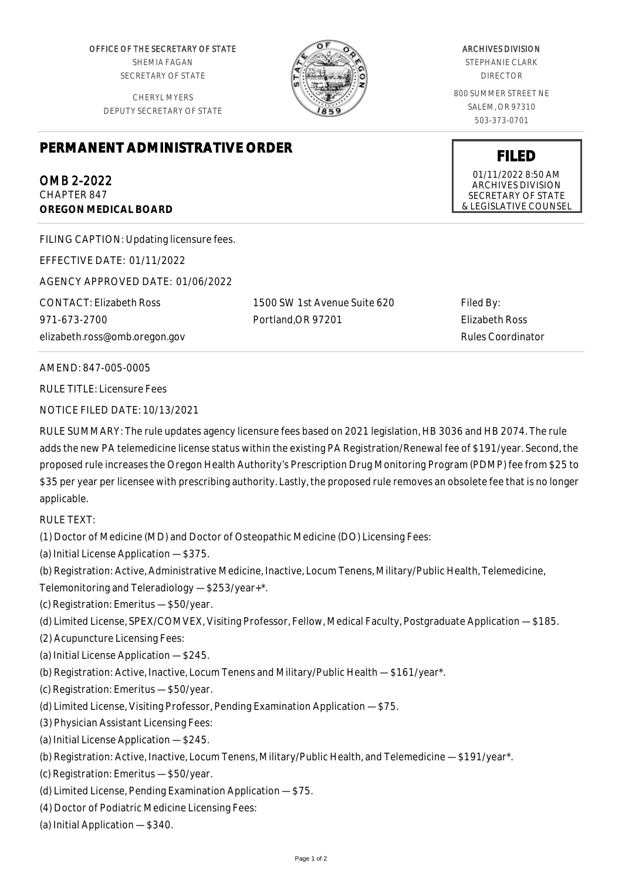OFFICE OF THE SECRETARY OF STATE SHEMIA FAGAN SECRETARY OF STATE

CHERYL MYERS DEPUTY SECRETARY OF STATE



## ARCHIVES DIVISION

STEPHANIE CLARK DIRECTOR

800 SUMMER STREET NE SALEM, OR 97310 503-373-0701

**FILED** 01/11/2022 8:50 AM ARCHIVES DIVISION SECRETARY OF STATE & LEGISLATIVE COUNSEL

## **PERMANENT ADMINISTRATIVE ORDER**

OMB 2-2022 CHAPTER 847 **OREGON MEDICAL BOARD**

FILING CAPTION: Updating licensure fees.

EFFECTIVE DATE: 01/11/2022

AGENCY APPROVED DATE: 01/06/2022

CONTACT: Elizabeth Ross 971-673-2700 elizabeth.ross@omb.oregon.gov 1500 SW 1st Avenue Suite 620 Portland,OR 97201

Filed By: Elizabeth Ross Rules Coordinator

AMEND: 847-005-0005

RULE TITLE: Licensure Fees

NOTICE FILED DATE: 10/13/2021

RULE SUMMARY: The rule updates agency licensure fees based on 2021 legislation, HB 3036 and HB 2074. The rule adds the new PA telemedicine license status within the existing PA Registration/Renewal fee of \$191/year. Second, the proposed rule increases the Oregon Health Authority's Prescription Drug Monitoring Program (PDMP) fee from \$25 to \$35 per year per licensee with prescribing authority. Lastly, the proposed rule removes an obsolete fee that is no longer applicable.

RULE TEXT:

(1) Doctor of Medicine (MD) and Doctor of Osteopathic Medicine (DO) Licensing Fees:

(a) Initial License Application — \$375.

(b) Registration: Active, Administrative Medicine, Inactive, Locum Tenens, Military/Public Health, Telemedicine,

- Telemonitoring and Teleradiology \$253/year+\*.
- (c) Registration: Emeritus \$50/year.
- (d) Limited License, SPEX/COMVEX, Visiting Professor, Fellow, Medical Faculty, Postgraduate Application \$185.
- (2) Acupuncture Licensing Fees:

(a) Initial License Application — \$245.

- (b) Registration: Active, Inactive, Locum Tenens and Military/Public Health \$161/year\*.
- (c) Registration: Emeritus \$50/year.
- (d) Limited License, Visiting Professor, Pending Examination Application \$75.
- (3) Physician Assistant Licensing Fees:
- (a) Initial License Application \$245.
- (b) Registration: Active, Inactive, Locum Tenens, Military/Public Health, and Telemedicine \$191/year\*.
- (c) Registration: Emeritus \$50/year.
- (d) Limited License, Pending Examination Application \$75.
- (4) Doctor of Podiatric Medicine Licensing Fees:
- (a) Initial Application \$340.